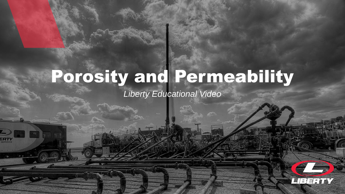# Porosity and Permeability

### *Liberty Educational Video*

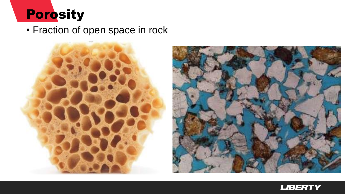

• Fraction of open space in rock





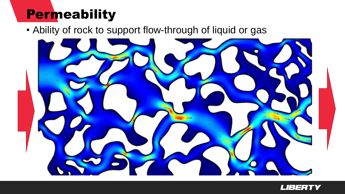### **Permeability**

• Ability of rock to support flow-through of liquid or gas



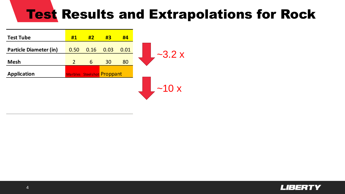# Test Results and Extrapolations for Rock

MD kD D mD μD nD

| <b>Test Tube</b>              | #1             | #2                         | #3   | #4   |             |
|-------------------------------|----------------|----------------------------|------|------|-------------|
| <b>Particle Diameter (in)</b> | 0.50           | 0.16                       | 0.03 | 0.01 |             |
| <b>Mesh</b>                   | $\overline{2}$ | $\mathbf b$                | 30   | 80   | $-3.2x$     |
| <b>Application</b>            |                | Marbles Steelshot Proppant |      |      |             |
|                               |                |                            |      |      | $\sim$ 10 x |

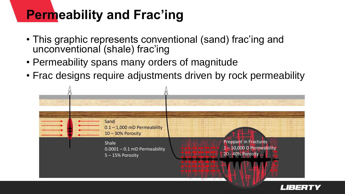## **Permeability and Frac'ing**

- This graphic represents conventional (sand) frac'ing and unconventional (shale) frac'ing
- Permeability spans many orders of magnitude
- Frac designs require adjustments driven by rock permeability